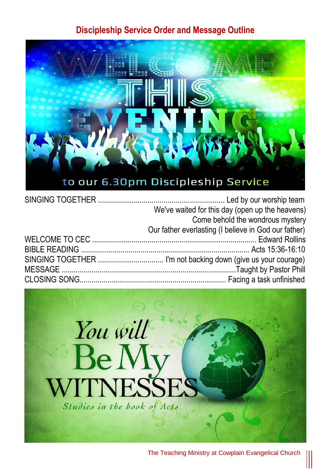### **Discipleship Service Order and Message Outline**



| We've waited for this day (open up the heavens)      |
|------------------------------------------------------|
| Come behold the wondrous mystery                     |
| Our father everlasting (I believe in God our father) |
|                                                      |
|                                                      |
|                                                      |
|                                                      |
|                                                      |



The Teaching Ministry at Cowplain Evangelical Church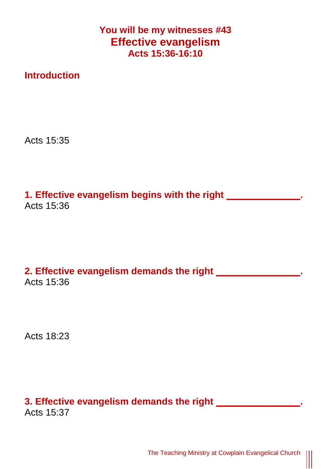**You will be my witnesses #43 Effective evangelism Acts 15:36-16:10**

**Introduction**

Acts 15:35

**1. Effective evangelism begins with the right \_\_\_\_\_\_\_\_\_\_\_\_\_\_.** Acts 15:36

**2. Effective evangelism demands the right \_\_\_\_\_\_\_\_\_\_\_\_\_\_\_\_.** Acts 15:36

Acts 18:23

# **3. Effective evangelism demands the right \_\_\_\_\_\_\_\_\_\_\_\_\_\_\_\_.**

Acts 15:37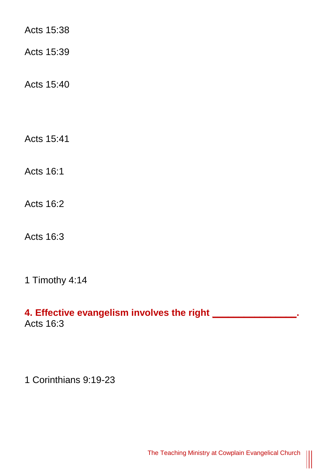Acts 15:38

Acts 15:39

Acts 15:40

Acts 15:41

Acts 16:1

Acts 16:2

Acts 16:3

1 Timothy 4:14

#### **4. Effective evangelism involves the right \_\_\_\_\_\_\_\_\_\_\_\_\_\_\_\_.** Acts 16:3

1 Corinthians 9:19-23

 $\parallel$